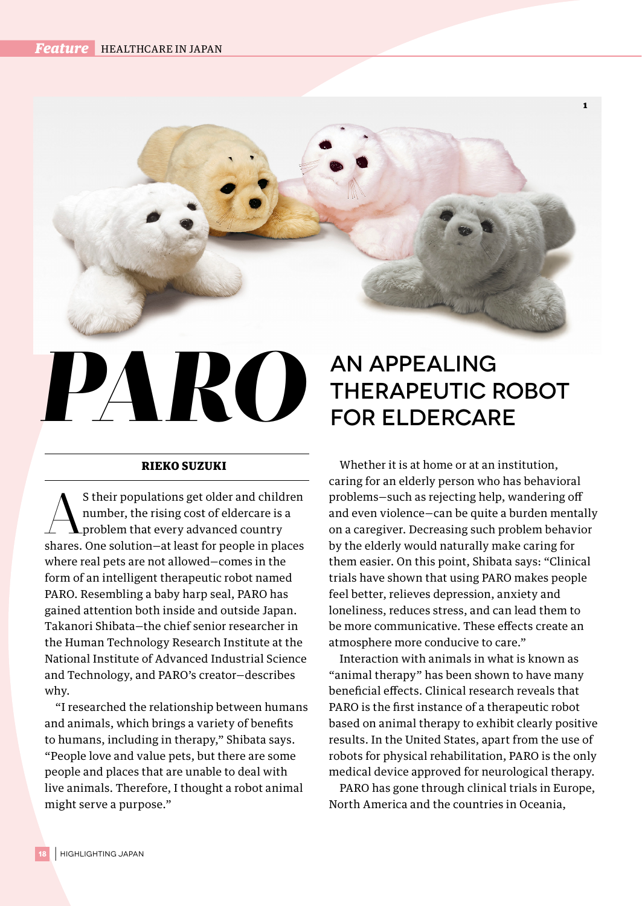## *PARO*

## RIEKO SUZUKI

S their populations get older and children<br>
number, the rising cost of eldercare is a<br>
problem that every advanced country number, the rising cost of eldercare is a problem that every advanced country shares. One solution—at least for people in places where real pets are not allowed—comes in the form of an intelligent therapeutic robot named PARO. Resembling a baby harp seal, PARO has gained attention both inside and outside Japan. Takanori Shibata—the chief senior researcher in the Human Technology Research Institute at the National Institute of Advanced Industrial Science and Technology, and PARO's creator—describes why.

"I researched the relationship between humans and animals, which brings a variety of benefits to humans, including in therapy," Shibata says. "People love and value pets, but there are some people and places that are unable to deal with live animals. Therefore, I thought a robot animal might serve a purpose."

## An Appealing Therapeutic Robot for Eldercare

1

Whether it is at home or at an institution, caring for an elderly person who has behavioral problems—such as rejecting help, wandering off and even violence—can be quite a burden mentally on a caregiver. Decreasing such problem behavior by the elderly would naturally make caring for them easier. On this point, Shibata says: "Clinical trials have shown that using PARO makes people feel better, relieves depression, anxiety and loneliness, reduces stress, and can lead them to be more communicative. These effects create an atmosphere more conducive to care."

Interaction with animals in what is known as "animal therapy" has been shown to have many beneficial effects. Clinical research reveals that PARO is the first instance of a therapeutic robot based on animal therapy to exhibit clearly positive results. In the United States, apart from the use of robots for physical rehabilitation, PARO is the only medical device approved for neurological therapy.

PARO has gone through clinical trials in Europe, North America and the countries in Oceania,